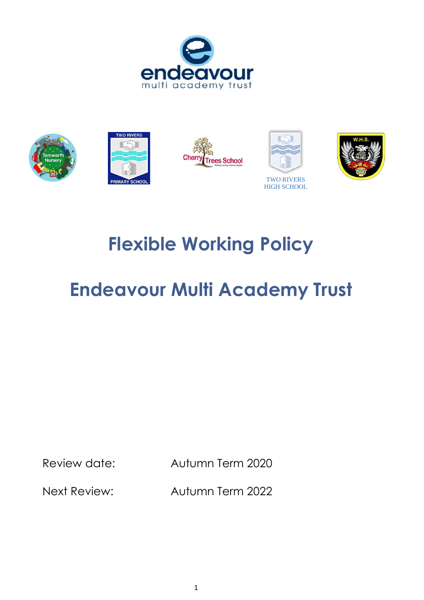



# **Flexible Working Policy**

# **Endeavour Multi Academy Trust**

Review date: Autumn Term 2020

Next Review: Autumn Term 2022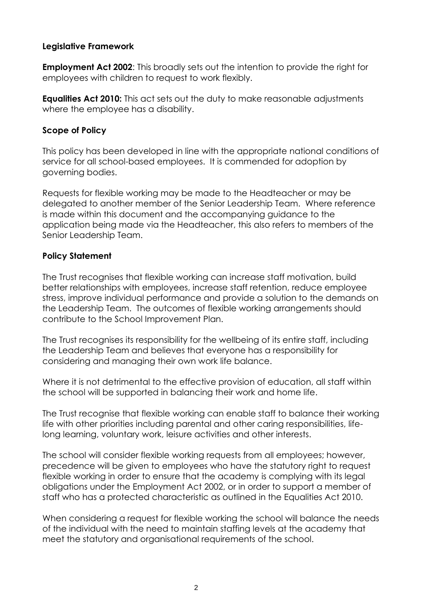### **Legislative Framework**

**Employment Act 2002**: This broadly sets out the intention to provide the right for employees with children to request to work flexibly.

**Equalities Act 2010:** This act sets out the duty to make reasonable adjustments where the employee has a disability.

#### **Scope of Policy**

This policy has been developed in line with the appropriate national conditions of service for all school-based employees. It is commended for adoption by governing bodies.

Requests for flexible working may be made to the Headteacher or may be delegated to another member of the Senior Leadership Team. Where reference is made within this document and the accompanying guidance to the application being made via the Headteacher, this also refers to members of the Senior Leadership Team.

## **Policy Statement**

The Trust recognises that flexible working can increase staff motivation, build better relationships with employees, increase staff retention, reduce employee stress, improve individual performance and provide a solution to the demands on the Leadership Team. The outcomes of flexible working arrangements should contribute to the School Improvement Plan.

The Trust recognises its responsibility for the wellbeing of its entire staff, including the Leadership Team and believes that everyone has a responsibility for considering and managing their own work life balance.

Where it is not detrimental to the effective provision of education, all staff within the school will be supported in balancing their work and home life.

The Trust recognise that flexible working can enable staff to balance their working life with other priorities including parental and other caring responsibilities, lifelong learning, voluntary work, leisure activities and other interests.

The school will consider flexible working requests from all employees; however, precedence will be given to employees who have the statutory right to request flexible working in order to ensure that the academy is complying with its legal obligations under the Employment Act 2002, or in order to support a member of staff who has a protected characteristic as outlined in the Equalities Act 2010.

When considering a request for flexible working the school will balance the needs of the individual with the need to maintain staffing levels at the academy that meet the statutory and organisational requirements of the school.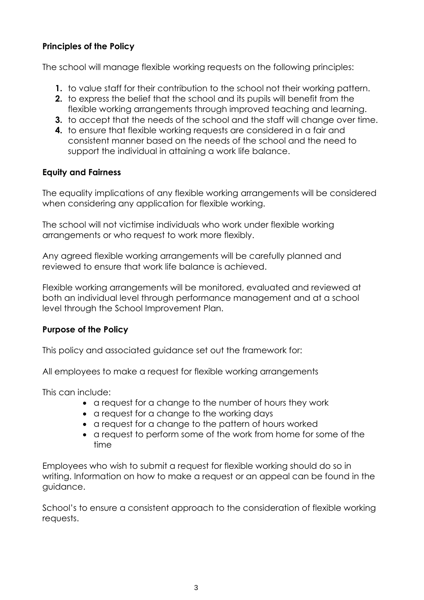# **Principles of the Policy**

The school will manage flexible working requests on the following principles:

- **1.** to value staff for their contribution to the school not their working pattern.
- **2.** to express the belief that the school and its pupils will benefit from the flexible working arrangements through improved teaching and learning.
- **3.** to accept that the needs of the school and the staff will change over time.
- **4.** to ensure that flexible working requests are considered in a fair and consistent manner based on the needs of the school and the need to support the individual in attaining a work life balance.

#### **Equity and Fairness**

The equality implications of any flexible working arrangements will be considered when considering any application for flexible working.

The school will not victimise individuals who work under flexible working arrangements or who request to work more flexibly.

Any agreed flexible working arrangements will be carefully planned and reviewed to ensure that work life balance is achieved.

Flexible working arrangements will be monitored, evaluated and reviewed at both an individual level through performance management and at a school level through the School Improvement Plan.

#### **Purpose of the Policy**

This policy and associated guidance set out the framework for:

All employees to make a request for flexible working arrangements

This can include:

- a request for a change to the number of hours they work
- a request for a change to the working days
- a request for a change to the pattern of hours worked
- a request to perform some of the work from home for some of the time

Employees who wish to submit a request for flexible working should do so in writing. Information on how to make a request or an appeal can be found in the guidance.

School's to ensure a consistent approach to the consideration of flexible working requests.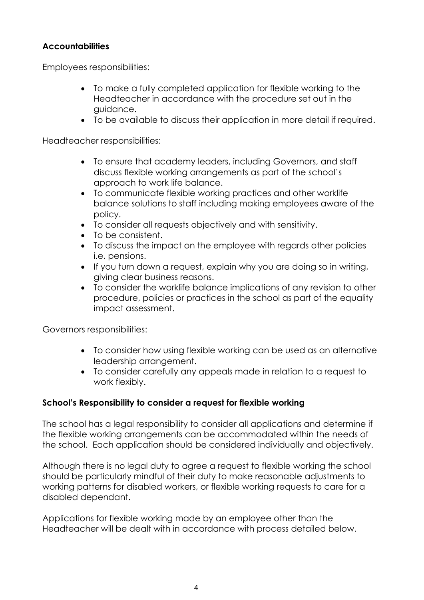## **Accountabilities**

Employees responsibilities:

- To make a fully completed application for flexible working to the Headteacher in accordance with the procedure set out in the guidance.
- To be available to discuss their application in more detail if required.

Headteacher responsibilities:

- To ensure that academy leaders, including Governors, and staff discuss flexible working arrangements as part of the school's approach to work life balance.
- To communicate flexible working practices and other worklife balance solutions to staff including making employees aware of the policy.
- To consider all requests objectively and with sensitivity.
- To be consistent.
- To discuss the impact on the employee with regards other policies i.e. pensions.
- If you turn down a request, explain why you are doing so in writing, giving clear business reasons.
- To consider the worklife balance implications of any revision to other procedure, policies or practices in the school as part of the equality impact assessment.

Governors responsibilities:

- To consider how using flexible working can be used as an alternative leadership arrangement.
- To consider carefully any appeals made in relation to a request to work flexibly.

# **School's Responsibility to consider a request for flexible working**

The school has a legal responsibility to consider all applications and determine if the flexible working arrangements can be accommodated within the needs of the school. Each application should be considered individually and objectively.

Although there is no legal duty to agree a request to flexible working the school should be particularly mindful of their duty to make reasonable adjustments to working patterns for disabled workers, or flexible working requests to care for a disabled dependant.

Applications for flexible working made by an employee other than the Headteacher will be dealt with in accordance with process detailed below.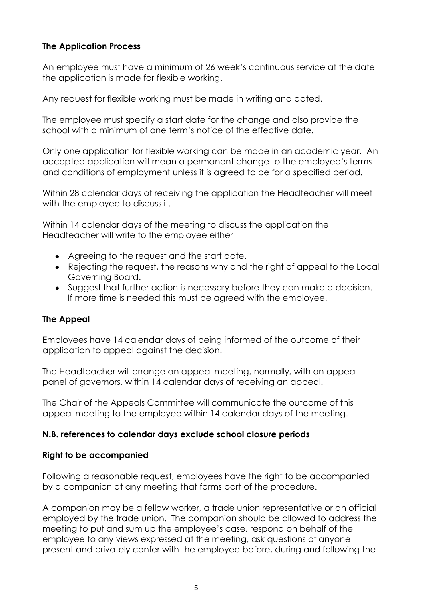# **The Application Process**

An employee must have a minimum of 26 week's continuous service at the date the application is made for flexible working.

Any request for flexible working must be made in writing and dated.

The employee must specify a start date for the change and also provide the school with a minimum of one term's notice of the effective date.

Only one application for flexible working can be made in an academic year. An accepted application will mean a permanent change to the employee's terms and conditions of employment unless it is agreed to be for a specified period.

Within 28 calendar days of receiving the application the Headteacher will meet with the employee to discuss it.

Within 14 calendar days of the meeting to discuss the application the Headteacher will write to the employee either

- Agreeing to the request and the start date.
- Rejecting the request, the reasons why and the right of appeal to the Local Governing Board.
- Suggest that further action is necessary before they can make a decision. If more time is needed this must be agreed with the employee.

# **The Appeal**

Employees have 14 calendar days of being informed of the outcome of their application to appeal against the decision.

The Headteacher will arrange an appeal meeting, normally, with an appeal panel of governors, within 14 calendar days of receiving an appeal.

The Chair of the Appeals Committee will communicate the outcome of this appeal meeting to the employee within 14 calendar days of the meeting.

# **N.B. references to calendar days exclude school closure periods**

#### **Right to be accompanied**

Following a reasonable request, employees have the right to be accompanied by a companion at any meeting that forms part of the procedure.

A companion may be a fellow worker, a trade union representative or an official employed by the trade union. The companion should be allowed to address the meeting to put and sum up the employee's case, respond on behalf of the employee to any views expressed at the meeting, ask questions of anyone present and privately confer with the employee before, during and following the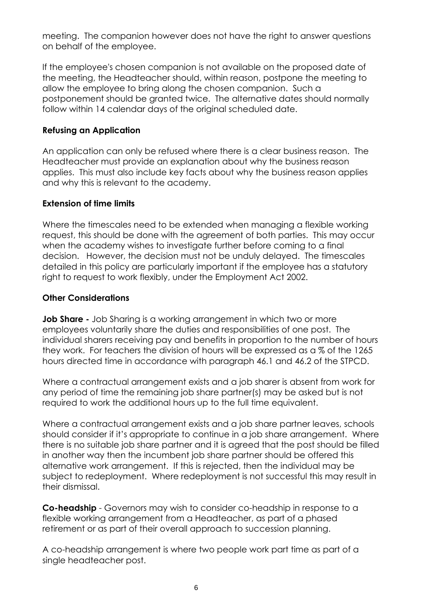meeting. The companion however does not have the right to answer questions on behalf of the employee.

If the employee's chosen companion is not available on the proposed date of the meeting, the Headteacher should, within reason, postpone the meeting to allow the employee to bring along the chosen companion. Such a postponement should be granted twice. The alternative dates should normally follow within 14 calendar days of the original scheduled date.

## **Refusing an Application**

An application can only be refused where there is a clear business reason. The Headteacher must provide an explanation about why the business reason applies. This must also include key facts about why the business reason applies and why this is relevant to the academy.

## **Extension of time limits**

Where the timescales need to be extended when managing a flexible working request, this should be done with the agreement of both parties. This may occur when the academy wishes to investigate further before coming to a final decision. However, the decision must not be unduly delayed. The timescales detailed in this policy are particularly important if the employee has a statutory right to request to work flexibly, under the Employment Act 2002.

## **Other Considerations**

**Job Share -** Job Sharing is a working arrangement in which two or more employees voluntarily share the duties and responsibilities of one post. The individual sharers receiving pay and benefits in proportion to the number of hours they work. For teachers the division of hours will be expressed as a % of the 1265 hours directed time in accordance with paragraph 46.1 and 46.2 of the STPCD.

Where a contractual arrangement exists and a job sharer is absent from work for any period of time the remaining job share partner(s) may be asked but is not required to work the additional hours up to the full time equivalent.

Where a contractual arrangement exists and a job share partner leaves, schools should consider if it's appropriate to continue in a job share arrangement. Where there is no suitable job share partner and it is agreed that the post should be filled in another way then the incumbent job share partner should be offered this alternative work arrangement. If this is rejected, then the individual may be subject to redeployment. Where redeployment is not successful this may result in their dismissal.

**Co-headship** - Governors may wish to consider co-headship in response to a flexible working arrangement from a Headteacher, as part of a phased retirement or as part of their overall approach to succession planning.

A co-headship arrangement is where two people work part time as part of a single headteacher post.